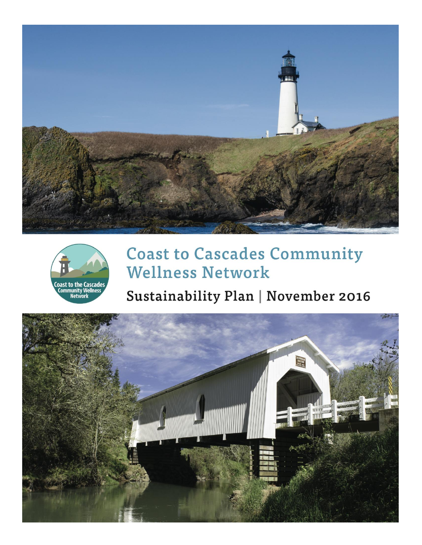



# **Coast to Cascades Community Wellness Network**

# Sustainability Plan | November 2016

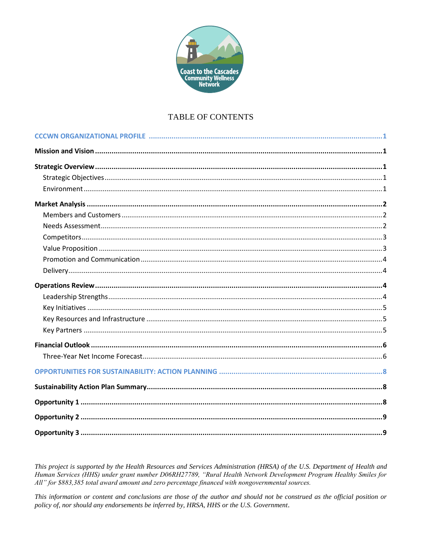

# TABLE OF CONTENTS

This project is supported by the Health Resources and Services Administration (HRSA) of the U.S. Department of Health and Human Services (HHS) under grant number D06RH27789, "Rural Health Network Development Program Healthy Smiles for All" for \$883,385 total award amount and zero percentage financed with nongovernmental sources.

This information or content and conclusions are those of the author and should not be construed as the official position or policy of, nor should any endorsements be inferred by, HRSA, HHS or the U.S. Government.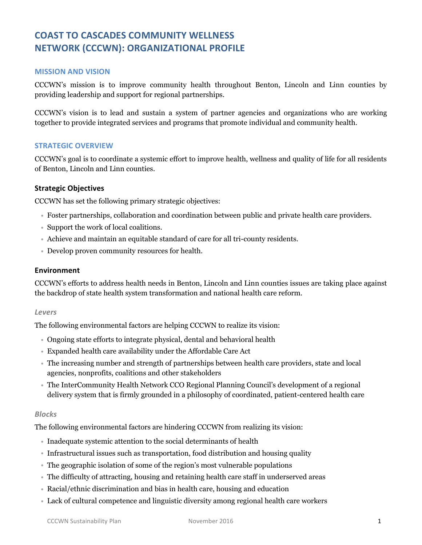# **COAST TO CASCADES COMMUNITY WELLNESS NETWORK (CCCWN): ORGANIZATIONAL PROFILE**

#### **MISSION AND VISION**

CCCWN's mission is to improve community health throughout Benton, Lincoln and Linn counties by providing leadership and support for regional partnerships.

CCCWN's vision is to lead and sustain a system of partner agencies and organizations who are working together to provide integrated services and programs that promote individual and community health.

#### **STRATEGIC OVERVIEW**

CCCWN's goal is to coordinate a systemic effort to improve health, wellness and quality of life for all residents of Benton, Lincoln and Linn counties.

#### **Strategic Objectives**

CCCWN has set the following primary strategic objectives:

- Foster partnerships, collaboration and coordination between public and private health care providers.
- Support the work of local coalitions.
- Achieve and maintain an equitable standard of care for all tri-county residents.
- Develop proven community resources for health.

#### **Environment**

CCCWN's efforts to address health needs in Benton, Lincoln and Linn counties issues are taking place against the backdrop of state health system transformation and national health care reform.

#### *Levers*

The following environmental factors are helping CCCWN to realize its vision:

- Ongoing state efforts to integrate physical, dental and behavioral health
- Expanded health care availability under the Affordable Care Act
- The increasing number and strength of partnerships between health care providers, state and local agencies, nonprofits, coalitions and other stakeholders
- The InterCommunity Health Network CCO Regional Planning Council's development of a regional delivery system that is firmly grounded in a philosophy of coordinated, patient-centered health care

#### *Blocks*

The following environmental factors are hindering CCCWN from realizing its vision:

- Inadequate systemic attention to the social determinants of health
- Infrastructural issues such as transportation, food distribution and housing quality
- The geographic isolation of some of the region's most vulnerable populations
- The difficulty of attracting, housing and retaining health care staff in underserved areas
- Racial/ethnic discrimination and bias in health care, housing and education
- Lack of cultural competence and linguistic diversity among regional health care workers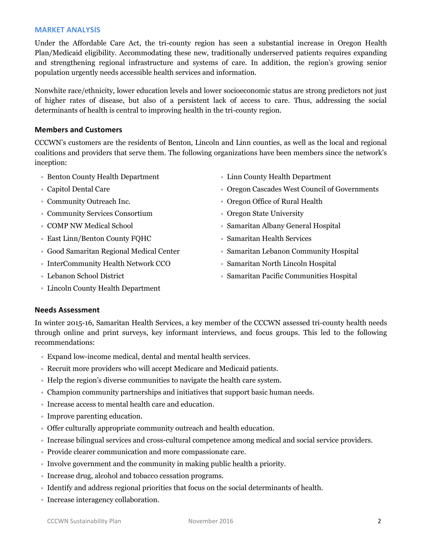#### **MARKET ANALYSIS**

Under the Affordable Care Act, the tri-county region has seen a substantial increase in Oregon Health Plan/Medicaid eligibility. Accommodating these new, traditionally underserved patients requires expanding and strengthening regional infrastructure and systems of care. In addition, the region's growing senior population urgently needs accessible health services and information.

Nonwhite race/ethnicity, lower education levels and lower socioeconomic status are strong predictors not just of higher rates of disease, but also of a persistent lack of access to care. Thus, addressing the social determinants of health is central to improving health in the tri-county region.

#### **Members and Customers**

CCCWN's customers are the residents of Benton, Lincoln and Linn counties, as well as the local and regional coalitions and providers that serve them. The following organizations have been members since the network's inception:

- Benton County Health Department Linn County Health Department
- 
- 
- Community Services Consortium **Community Services Consortium Oregon State University**
- 
- East Linn/Benton County FQHC <br>• Samaritan Health Services
- 
- InterCommunity Health Network CCO Samaritan North Lincoln Hospital
- 
- Lincoln County Health Department
- 
- Capitol Dental Care Oregon Cascades West Council of Governments
- Community Outreach Inc. Oregon Office of Rural Health
	-
- COMP NW Medical School **Samaritan Albany General Hospital** Samaritan Albany General Hospital
	-
- Good Samaritan Regional Medical Center **Samaritan Lebanon Community Hospital** 
	-
- Lebanon School District **Samaritan Pacific Communities Hospital** Samaritan Pacific Communities Hospital

#### **Needs Assessment**

In winter 2015-16, Samaritan Health Services, a key member of the CCCWN assessed tri-county health needs through online and print surveys, key informant interviews, and focus groups. This led to the following recommendations:

- Expand low-income medical, dental and mental health services.
- Recruit more providers who will accept Medicare and Medicaid patients.
- Help the region's diverse communities to navigate the health care system.
- Champion community partnerships and initiatives that support basic human needs.
- Increase access to mental health care and education.
- Improve parenting education.
- Offer culturally appropriate community outreach and health education.
- Increase bilingual services and cross-cultural competence among medical and social service providers.
- Provide clearer communication and more compassionate care.
- Involve government and the community in making public health a priority.
- Increase drug, alcohol and tobacco cessation programs.
- Identify and address regional priorities that focus on the social determinants of health.
- Increase interagency collaboration.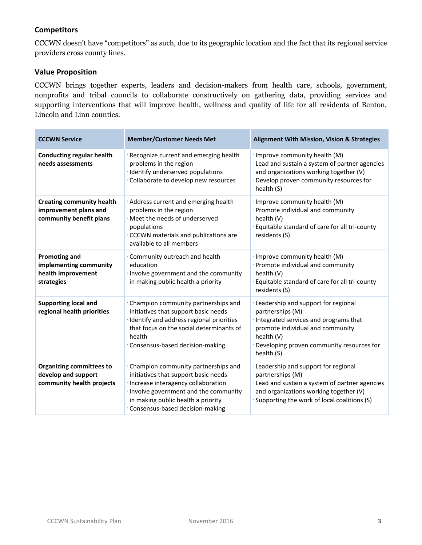### **Competitors**

CCCWN doesn't have "competitors" as such, due to its geographic location and the fact that its regional service providers cross county lines.

# **Value Proposition**

CCCWN brings together experts, leaders and decision-makers from health care, schools, government, nonprofits and tribal councils to collaborate constructively on gathering data, providing services and supporting interventions that will improve health, wellness and quality of life for all residents of Benton, Lincoln and Linn counties.

| <b>CCCWN Service</b>                                                                 | <b>Member/Customer Needs Met</b>                                                                                                                                                                                                   | <b>Alignment With Mission, Vision &amp; Strategies</b>                                                                                                                                                        |  |  |
|--------------------------------------------------------------------------------------|------------------------------------------------------------------------------------------------------------------------------------------------------------------------------------------------------------------------------------|---------------------------------------------------------------------------------------------------------------------------------------------------------------------------------------------------------------|--|--|
| <b>Conducting regular health</b><br>needs assessments                                | Recognize current and emerging health<br>problems in the region<br>· Identify underserved populations<br>Collaborate to develop new resources                                                                                      | · Improve community health (M)<br>· Lead and sustain a system of partner agencies<br>and organizations working together (V)<br>Develop proven community resources for<br>health (S)                           |  |  |
| <b>Creating community health</b><br>improvement plans and<br>community benefit plans | Address current and emerging health<br>problems in the region<br>Meet the needs of underserved<br>populations<br>CCCWN materials and publications are<br>available to all members                                                  | · Improve community health (M)<br>· Promote individual and community<br>health (V)<br>Equitable standard of care for all tri-county<br>residents (S)                                                          |  |  |
| <b>Promoting and</b><br>implementing community<br>health improvement<br>strategies   | Community outreach and health<br>education<br>Involve government and the community<br>in making public health a priority                                                                                                           | Improve community health (M)<br>Promote individual and community<br>health (V)<br>Equitable standard of care for all tri-county<br>residents (S)                                                              |  |  |
| <b>Supporting local and</b><br>regional health priorities                            | Champion community partnerships and<br>initiatives that support basic needs<br>Identify and address regional priorities<br>that focus on the social determinants of<br>health<br>Consensus-based decision-making                   | Leadership and support for regional<br>partnerships (M)<br>Integrated services and programs that<br>promote individual and community<br>health (V)<br>Developing proven community resources for<br>health (S) |  |  |
| <b>Organizing committees to</b><br>develop and support<br>community health projects  | Champion community partnerships and<br>initiatives that support basic needs<br>Increase interagency collaboration<br>Involve government and the community<br>in making public health a priority<br>Consensus-based decision-making | Leadership and support for regional<br>partnerships (M)<br>Lead and sustain a system of partner agencies<br>and organizations working together (V)<br>Supporting the work of local coalitions (S)             |  |  |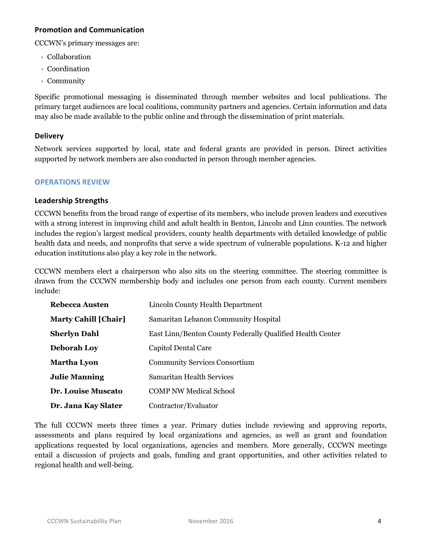#### **Promotion and Communication**

CCCWN's primary messages are:

- Collaboration
- Coordination
- Community

Specific promotional messaging is disseminated through member websites and local publications. The primary target audiences are local coalitions, community partners and agencies. Certain information and data may also be made available to the public online and through the dissemination of print materials.

#### **Delivery**

Network services supported by local, state and federal grants are provided in person. Direct activities supported by network members are also conducted in person through member agencies.

#### **OPERATIONS REVIEW**

#### **Leadership Strengths**

CCCWN benefits from the broad range of expertise of its members, who include proven leaders and executives with a strong interest in improving child and adult health in Benton, Lincoln and Linn counties. The network includes the region's largest medical providers, county health departments with detailed knowledge of public health data and needs, and nonprofits that serve a wide spectrum of vulnerable populations. K-12 and higher education institutions also play a key role in the network.

CCCWN members elect a chairperson who also sits on the steering committee. The steering committee is drawn from the CCCWN membership body and includes one person from each county. Current members include:

| Rebecca Austen              | Lincoln County Health Department                          |
|-----------------------------|-----------------------------------------------------------|
| <b>Marty Cahill [Chair]</b> | Samaritan Lebanon Community Hospital                      |
| Sherlyn Dahl                | East Linn/Benton County Federally Qualified Health Center |
| <b>Deborah Loy</b>          | Capitol Dental Care                                       |
| Martha Lyon                 | <b>Community Services Consortium</b>                      |
| <b>Julie Manning</b>        | Samaritan Health Services                                 |
| <b>Dr. Louise Muscato</b>   | <b>COMP NW Medical School</b>                             |
| Dr. Jana Kay Slater         | Contractor/Evaluator                                      |

The full CCCWN meets three times a year. Primary duties include reviewing and approving reports, assessments and plans required by local organizations and agencies, as well as grant and foundation applications requested by local organizations, agencies and members. More generally, CCCWN meetings entail a discussion of projects and goals, funding and grant opportunities, and other activities related to regional health and well-being.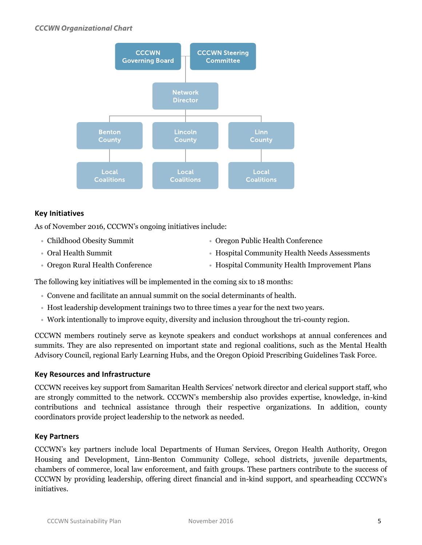

#### **Key Initiatives**

As of November 2016, CCCWN's ongoing initiatives include:

- 
- 
- 
- Childhood Obesity Summit Oregon Public Health Conference
- Oral Health Summit **Hospital Community Health Needs Assessments** Hospital Community Health Needs Assessments
- Oregon Rural Health Conference Hospital Community Health Improvement Plans

The following key initiatives will be implemented in the coming six to 18 months:

- Convene and facilitate an annual summit on the social determinants of health.
- Host leadership development trainings two to three times a year for the next two years.
- Work intentionally to improve equity, diversity and inclusion throughout the tri-county region.

CCCWN members routinely serve as keynote speakers and conduct workshops at annual conferences and summits. They are also represented on important state and regional coalitions, such as the Mental Health Advisory Council, regional Early Learning Hubs, and the Oregon Opioid Prescribing Guidelines Task Force.

#### **Key Resources and Infrastructure**

CCCWN receives key support from Samaritan Health Services' network director and clerical support staff, who are strongly committed to the network. CCCWN's membership also provides expertise, knowledge, in-kind contributions and technical assistance through their respective organizations. In addition, county coordinators provide project leadership to the network as needed.

#### **Key Partners**

CCCWN's key partners include local Departments of Human Services, Oregon Health Authority, Oregon Housing and Development, Linn-Benton Community College, school districts, juvenile departments, chambers of commerce, local law enforcement, and faith groups. These partners contribute to the success of CCCWN by providing leadership, offering direct financial and in-kind support, and spearheading CCCWN's initiatives.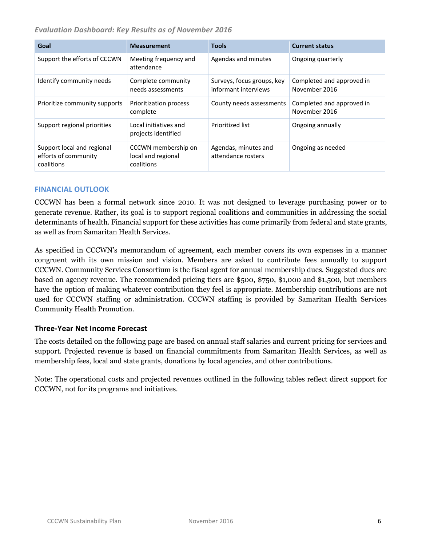*Evaluation Dashboard: Key Results as of November 2016*

| Goal                                                             | <b>Measurement</b>                                      | <b>Tools</b>                                       | <b>Current status</b>                      |
|------------------------------------------------------------------|---------------------------------------------------------|----------------------------------------------------|--------------------------------------------|
| Support the efforts of CCCWN                                     | Meeting frequency and<br>attendance                     | Agendas and minutes                                | Ongoing quarterly                          |
| Identify community needs                                         | Complete community<br>needs assessments                 | Surveys, focus groups, key<br>informant interviews | Completed and approved in<br>November 2016 |
| Prioritize community supports                                    | Prioritization process<br>complete                      | County needs assessments                           | Completed and approved in<br>November 2016 |
| Support regional priorities                                      | Local initiatives and<br>projects identified            | Prioritized list                                   | Ongoing annually                           |
| Support local and regional<br>efforts of community<br>coalitions | CCCWN membership on<br>local and regional<br>coalitions | Agendas, minutes and<br>attendance rosters         | Ongoing as needed                          |

#### **FINANCIAL OUTLOOK**

CCCWN has been a formal network since 2010. It was not designed to leverage purchasing power or to generate revenue. Rather, its goal is to support regional coalitions and communities in addressing the social determinants of health. Financial support for these activities has come primarily from federal and state grants, as well as from Samaritan Health Services.

As specified in CCCWN's memorandum of agreement, each member covers its own expenses in a manner congruent with its own mission and vision. Members are asked to contribute fees annually to support CCCWN. Community Services Consortium is the fiscal agent for annual membership dues. Suggested dues are based on agency revenue. The recommended pricing tiers are \$500, \$750, \$1,000 and \$1,500, but members have the option of making whatever contribution they feel is appropriate. Membership contributions are not used for CCCWN staffing or administration. CCCWN staffing is provided by Samaritan Health Services Community Health Promotion.

#### **Three-Year Net Income Forecast**

The costs detailed on the following page are based on annual staff salaries and current pricing for services and support. Projected revenue is based on financial commitments from Samaritan Health Services, as well as membership fees, local and state grants, donations by local agencies, and other contributions.

Note: The operational costs and projected revenues outlined in the following tables reflect direct support for CCCWN, not for its programs and initiatives.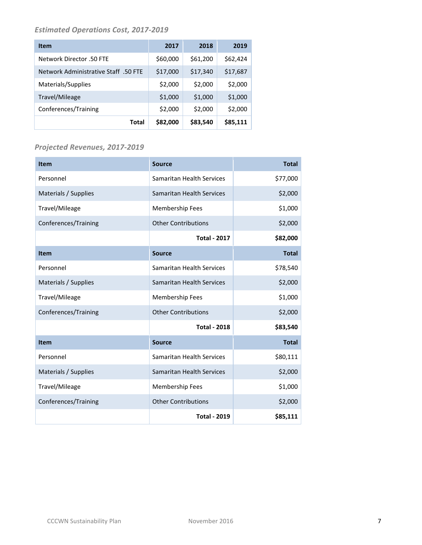## *Estimated Operations Cost, 2017-2019*

| <b>Item</b>                          | 2017     | 2018     | 2019     |
|--------------------------------------|----------|----------|----------|
| Network Director .50 FTE             | \$60,000 | \$61,200 | \$62,424 |
| Network Administrative Staff .50 FTE | \$17,000 | \$17,340 | \$17,687 |
| Materials/Supplies                   | \$2,000  | \$2,000  | \$2,000  |
| Travel/Mileage                       | \$1,000  | \$1,000  | \$1,000  |
| Conferences/Training                 | \$2,000  | \$2,000  | \$2,000  |
| Total                                | \$82,000 | \$83,540 | \$85,111 |

## *Projected Revenues, 2017-2019*

| Item                 | <b>Source</b>                    | <b>Total</b> |
|----------------------|----------------------------------|--------------|
| Personnel            | Samaritan Health Services        | \$77,000     |
| Materials / Supplies | Samaritan Health Services        | \$2,000      |
| Travel/Mileage       | <b>Membership Fees</b>           | \$1,000      |
| Conferences/Training | <b>Other Contributions</b>       | \$2,000      |
|                      | <b>Total - 2017</b>              | \$82,000     |
| <b>Item</b>          | <b>Source</b>                    | <b>Total</b> |
| Personnel            | Samaritan Health Services        | \$78,540     |
| Materials / Supplies | <b>Samaritan Health Services</b> | \$2,000      |
| Travel/Mileage       | Membership Fees                  | \$1,000      |
| Conferences/Training | <b>Other Contributions</b>       | \$2,000      |
|                      | <b>Total - 2018</b>              | \$83,540     |
| <b>Item</b>          | <b>Source</b>                    | <b>Total</b> |
| Personnel            | Samaritan Health Services        | \$80,111     |
| Materials / Supplies | Samaritan Health Services        | \$2,000      |
| Travel/Mileage       | <b>Membership Fees</b>           | \$1,000      |
| Conferences/Training | <b>Other Contributions</b>       | \$2,000      |
|                      | <b>Total - 2019</b>              | \$85,111     |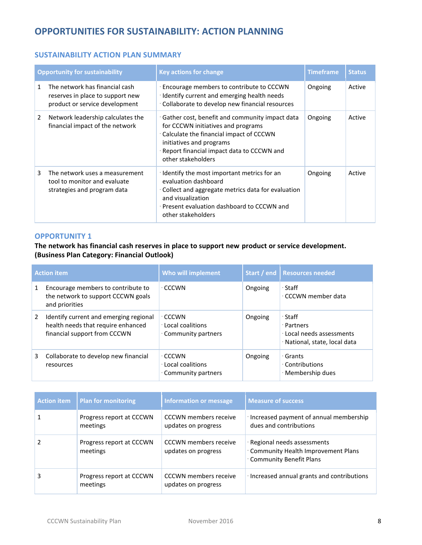# **OPPORTUNITIES FOR SUSTAINABILITY: ACTION PLANNING**

#### **SUSTAINABILITY ACTION PLAN SUMMARY**

|   | <b>Opportunity for sustainability</b>                                                                | <b>Key actions for change</b>                                                                                                                                                                                                    | <b>Timeframe</b> | <b>Status</b> |
|---|------------------------------------------------------------------------------------------------------|----------------------------------------------------------------------------------------------------------------------------------------------------------------------------------------------------------------------------------|------------------|---------------|
| 1 | The network has financial cash<br>reserves in place to support new<br>product or service development | Encourage members to contribute to CCCWN<br>· Identify current and emerging health needs<br>Collaborate to develop new financial resources                                                                                       | Ongoing          | Active        |
| 2 | Network leadership calculates the<br>financial impact of the network                                 | Gather cost, benefit and community impact data<br>for CCCWN initiatives and programs<br>Calculate the financial impact of CCCWN<br>initiatives and programs<br>· Report financial impact data to CCCWN and<br>other stakeholders | Ongoing          | Active        |
| 3 | The network uses a measurement<br>tool to monitor and evaluate<br>strategies and program data        | · Identify the most important metrics for an<br>evaluation dashboard<br>Collect and aggregate metrics data for evaluation<br>and visualization<br>· Present evaluation dashboard to CCCWN and<br>other stakeholders              | Ongoing          | Active        |

#### **OPPORTUNITY 1**

**The network has financial cash reserves in place to support new product or service development. (Business Plan Category: Financial Outlook)**

| <b>Action item</b> |                                                                                                              | Who will implement                                               |         | Start / end   Resources needed                                                                 |
|--------------------|--------------------------------------------------------------------------------------------------------------|------------------------------------------------------------------|---------|------------------------------------------------------------------------------------------------|
| 1                  | Encourage members to contribute to<br>the network to support CCCWN goals<br>and priorities                   | · CCCWN                                                          | Ongoing | ∙ Staff<br>∙ CCCWN member data                                                                 |
| 2                  | Identify current and emerging regional<br>health needs that require enhanced<br>financial support from CCCWN | $\cdot$ CCCWN<br><b>Local coalitions</b><br>. Community partners | Ongoing | $\cdot$ Staff<br>· Partners<br><b>Local needs assessments</b><br>· National, state, local data |
| 3                  | Collaborate to develop new financial<br>resources                                                            | ∙ CCCWN<br>Local coalitions<br>. Community partners              | Ongoing | ∙ Grants<br>· Contributions<br>· Membership dues                                               |

| <b>Action item</b> | <b>Plan for monitoring</b>           | <b>Information or message</b>                       | <b>Measure of success</b>                                                                            |
|--------------------|--------------------------------------|-----------------------------------------------------|------------------------------------------------------------------------------------------------------|
|                    | Progress report at CCCWN<br>meetings | <b>CCCWN</b> members receive<br>updates on progress | · Increased payment of annual membership<br>dues and contributions                                   |
|                    | Progress report at CCCWN<br>meetings | <b>CCCWN</b> members receive<br>updates on progress | · Regional needs assessments<br>Community Health Improvement Plans<br><b>Community Benefit Plans</b> |
| 3                  | Progress report at CCCWN<br>meetings | <b>CCCWN</b> members receive<br>updates on progress | · Increased annual grants and contributions                                                          |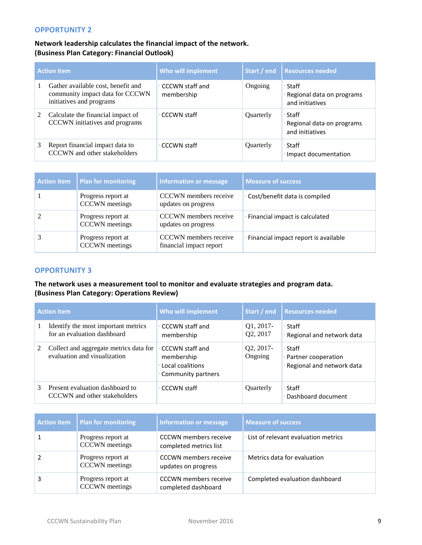#### **OPPORTUNITY 2**

#### **Network leadership calculates the financial impact of the network. (Business Plan Category: Financial Outlook)**

| <b>Action item</b> |                                                                                                   | Who will implement                    | Start / end | <b>Resources needed</b>                                 |
|--------------------|---------------------------------------------------------------------------------------------------|---------------------------------------|-------------|---------------------------------------------------------|
|                    | Gather available cost, benefit and<br>community impact data for CCCWN<br>initiatives and programs | $\cdot$ CCCWN staff and<br>membership | Ongoing     | ∙ Staff<br>Regional data on programs<br>and initiatives |
| 2                  | Calculate the financial impact of<br>CCCWN initiatives and programs                               | ∙ CCCWN staff                         | Quarterly   | ∙ Staff<br>Regional data on programs<br>and initiatives |
| 3                  | Report financial impact data to<br>CCCWN and other stakeholders                                   | ∙ CCCWN staff                         | Quarterly   | ∙ Staff<br>· Impact documentation                       |

| <b>Action item</b> | Plan for monitoring                         | Information or message                           | <b>Measure of success</b>            |
|--------------------|---------------------------------------------|--------------------------------------------------|--------------------------------------|
|                    | Progress report at<br><b>CCCWN</b> meetings | CCCWN members receive<br>updates on progress     | Cost/benefit data is compiled        |
|                    | Progress report at<br><b>CCCWN</b> meetings | CCCWN members receive<br>updates on progress     | · Financial impact is calculated     |
|                    | Progress report at<br><b>CCCWN</b> meetings | CCCWN members receive<br>financial impact report | Financial impact report is available |

#### **OPPORTUNITY 3**

#### **The network uses a measurement tool to monitor and evaluate strategies and program data. (Business Plan Category: Operations Review)**

| <b>Action item</b> |                                                                        | Who will implement                                                                 |                      | Start / end   Resources needed                                  |
|--------------------|------------------------------------------------------------------------|------------------------------------------------------------------------------------|----------------------|-----------------------------------------------------------------|
|                    | Identify the most important metrics<br>for an evaluation dashboard     | ⋅ CCCWN staff and<br>membership                                                    | Q1, 2017<br>Q2, 2017 | ∙ Staff<br>· Regional and network data                          |
| 2                  | Collect and aggregate metrics data for<br>evaluation and visualization | ⋅ CCCWN staff and<br>membership<br><b>Local coalitions</b><br>• Community partners | Q2, 2017<br>Ongoing  | ∙ Staff<br>· Partner cooperation<br>· Regional and network data |
| $\mathcal{E}$      | Present evaluation dashboard to<br>CCCWN and other stakeholders        | ∙ CCCWN staff                                                                      | Quarterly            | ∙ Staff<br>Dashboard document                                   |

| Action item   Plan for monitoring           | <b>Information or message</b>                          | <b>Measure of success</b>           |
|---------------------------------------------|--------------------------------------------------------|-------------------------------------|
| Progress report at<br><b>CCCWN</b> meetings | <b>CCCWN</b> members receive<br>completed metrics list | List of relevant evaluation metrics |
| Progress report at<br><b>CCCWN</b> meetings | <b>CCCWN</b> members receive<br>updates on progress    | · Metrics data for evaluation       |
| Progress report at<br><b>CCCWN</b> meetings | <b>CCCWN</b> members receive<br>completed dashboard    | Completed evaluation dashboard      |